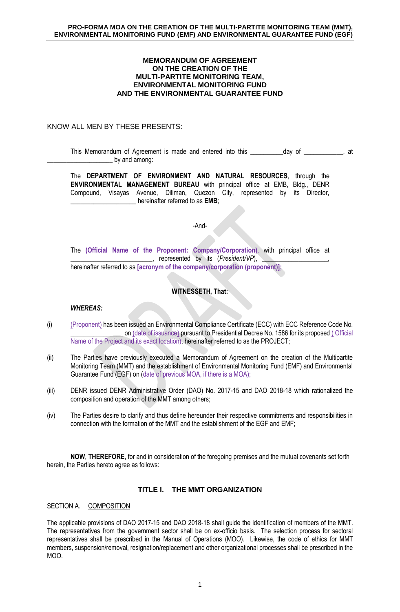#### **MEMORANDUM OF AGREEMENT ON THE CREATION OF THE MULTI-PARTITE MONITORING TEAM, ENVIRONMENTAL MONITORING FUND AND THE ENVIRONMENTAL GUARANTEE FUND**

## KNOW ALL MEN BY THESE PRESENTS:

This Memorandum of Agreement is made and entered into this \_\_\_\_\_\_\_\_\_\_day of \_\_\_\_\_\_\_\_\_\_, at by and among:

The **DEPARTMENT OF ENVIRONMENT AND NATURAL RESOURCES**, through the **ENVIRONMENTAL MANAGEMENT BUREAU** with principal office at EMB, Bldg., DENR Compound, Visayas Avenue, Diliman, Quezon City, represented by its Director, **\_\_\_\_\_\_\_\_\_\_\_\_\_\_\_\_\_\_\_\_** hereinafter referred to as **EMB**;

#### -And-

The **(Official Name of the Proponent: Company/Corporation)**, with principal office at . represented by its (*President/VP*), hereinafter referred to as **[acronym of the company/corporation (proponent)];**

# **WITNESSETH, That:**

### *WHEREAS:*

- (i) (Proponent) has been issued an Environmental Compliance Certificate (ECC) with ECC Reference Code No. \_\_\_\_\_\_\_\_\_\_\_\_\_\_\_\_ on (date of issuance) pursuant to Presidential Decree No. 1586 for its proposed ( Official Name of the Project and its exact location), hereinafter referred to as the PROJECT;
- (ii) The Parties have previously executed a Memorandum of Agreement on the creation of the Multipartite Monitoring Team (MMT) and the establishment of Environmental Monitoring Fund (EMF) and Environmental Guarantee Fund (EGF) on (date of previous MOA, if there is a MOA);
- (iii) DENR issued DENR Administrative Order (DAO) No. 2017-15 and DAO 2018-18 which rationalized the composition and operation of the MMT among others;
- (iv) The Parties desire to clarify and thus define hereunder their respective commitments and responsibilities in connection with the formation of the MMT and the establishment of the EGF and EMF;

**NOW**, **THEREFORE**, for and in consideration of the foregoing premises and the mutual covenants set forth herein, the Parties hereto agree as follows:

## **TITLE I. THE MMT ORGANIZATION**

SECTION A. COMPOSITION

The applicable provisions of DAO 2017-15 and DAO 2018-18 shall guide the identification of members of the MMT. The representatives from the government sector shall be on ex-officio basis. The selection process for sectoral representatives shall be prescribed in the Manual of Operations (MOO). Likewise, the code of ethics for MMT members, suspension/removal, resignation/replacement and other organizational processes shall be prescribed in the MOO.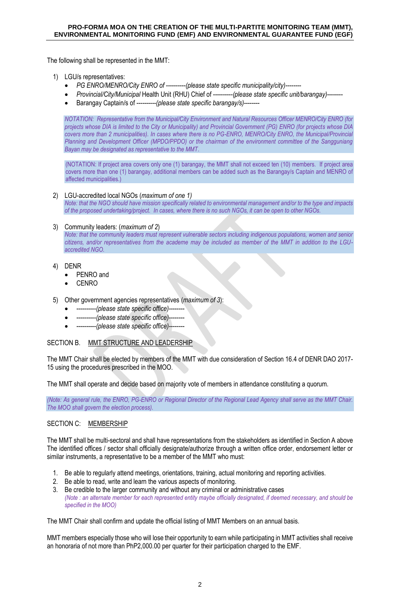The following shall be represented in the MMT:

1) LGU/s representatives:

- *PG ENRO/MENRO/City ENRO of ----------(please state specific municipality/city)--------*
- *Provincial/City/Municipal* Health Unit (RHU) Chief of ----------*(please state specific unit/barangay)*--------
- Barangay Captain/s of ----------*(please state specific barangay/s)*--------

*NOTATION: Representative from the Municipal/City Environment and Natural Resources Officer MENRO/City ENRO (for projects whose DIA is limited to the City or Municipality) and Provincial Government (PG) ENRO (for projects whose DIA covers more than 2 municipalities). In cases where there is no PG-ENRO, MENRO/City ENRO, the Municipal/Provincial Planning and Development Officer (MPDO/PPDO) or the chairman of the environment committee of the Sangguniang Bayan may be designated as representative to the MMT*.

(NOTATION: If project area covers only one (1) barangay, the MMT shall not exceed ten (10) members. If project area covers more than one (1) barangay, additional members can be added such as the Barangay/s Captain and MENRO of affected municipalities.)

#### 2) LGU-accredited local NGOs (*maximum of one 1)*

*Note: that the NGO should have mission specifically related to environmental management and/or to the type and impacts of the proposed undertaking/project. In cases, where there is no such NGOs, it can be open to other NGOs.*

#### 3) Community leaders: (*maximum of 2*)

*Note: that the community leaders must represent vulnerable sectors including indigenous populations, women and senior citizens, and/or representatives from the academe may be included as member of the MMT in addition to the LGUaccredited NGO.*

### 4) DENR

- PENRO and
- CENRO
- 5) Other government agencies representatives (*maximum of 3*):
	- ----------*(please state specific office)*--------
	- ----------*(please state specific office)*--------
	- ----------*(please state specific office)*--------

### SECTION B. MMT STRUCTURE AND LEADERSHIP

The MMT Chair shall be elected by members of the MMT with due consideration of Section 16.4 of DENR DAO 2017- 15 using the procedures prescribed in the MOO.

The MMT shall operate and decide based on majority vote of members in attendance constituting a quorum.

*(Note: As general rule, the ENRO, PG-ENRO or Regional Director of the Regional Lead Agency shall serve as the MMT Chair. The MOO shall govern the election process).*

## SECTION C: MEMBERSHIP

The MMT shall be multi-sectoral and shall have representations from the stakeholders as identified in Section A above The identified offices / sector shall officially designate/authorize through a written office order, endorsement letter or similar instruments, a representative to be a member of the MMT who must:

- 1. Be able to regularly attend meetings, orientations, training, actual monitoring and reporting activities.
- 2. Be able to read, write and learn the various aspects of monitoring.
- 3. Be credible to the larger community and without any criminal or administrative cases *(Note : an alternate member for each represented entity maybe officially designated, if deemed necessary, and should be specified in the MOO)*

The MMT Chair shall confirm and update the official listing of MMT Members on an annual basis.

MMT members especially those who will lose their opportunity to earn while participating in MMT activities shall receive an honoraria of not more than PhP2,000.00 per quarter for their participation charged to the EMF.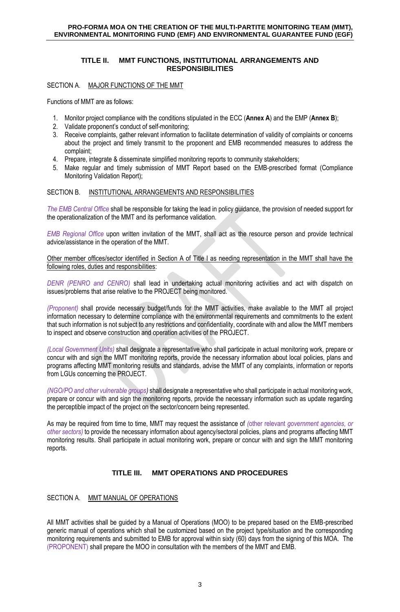## **TITLE II. MMT FUNCTIONS, INSTITUTIONAL ARRANGEMENTS AND RESPONSIBILITIES**

SECTION A. MAJOR FUNCTIONS OF THE MMT

Functions of MMT are as follows:

- 1. Monitor project compliance with the conditions stipulated in the ECC (**Annex A**) and the EMP (**Annex B**);
- 2. Validate proponent's conduct of self-monitoring;
- 3. Receive complaints, gather relevant information to facilitate determination of validity of complaints or concerns about the project and timely transmit to the proponent and EMB recommended measures to address the complaint;
- 4. Prepare, integrate & disseminate simplified monitoring reports to community stakeholders;
- 5. Make regular and timely submission of MMT Report based on the EMB-prescribed format (Compliance Monitoring Validation Report);

## SECTION B. INSTITUTIONAL ARRANGEMENTS AND RESPONSIBILITIES

*The EMB Central Office* shall be responsible for taking the lead in policy guidance, the provision of needed support for the operationalization of the MMT and its performance validation.

*EMB Regional Office* upon written invitation of the MMT, shall act as the resource person and provide technical advice/assistance in the operation of the MMT.

Other member offices/sector identified in Section A of Title I as needing representation in the MMT shall have the following roles, duties and responsibilities:

 *DENR (PENRO and CENRO)* shall lead in undertaking actual monitoring activities and act with dispatch on issues/problems that arise relative to the PROJECT being monitored.

*(Proponent)* shall provide necessary budget/funds for the MMT activities, make available to the MMT all project information necessary to determine compliance with the environmental requirements and commitments to the extent that such information is not subject to any restrictions and confidentiality, coordinate with and allow the MMT members to inspect and observe construction and operation activities of the PROJECT.

*(Local Government Units)* shall designate a representative who shall participate in actual monitoring work, prepare or concur with and sign the MMT monitoring reports, provide the necessary information about local policies, plans and programs affecting MMT monitoring results and standards, advise the MMT of any complaints, information or reports from LGUs concerning the PROJECT.

*(NGO/PO and other vulnerable groups)* shall designate a representative who shall participate in actual monitoring work, prepare or concur with and sign the monitoring reports, provide the necessary information such as update regarding the perceptible impact of the project on the sector/concern being represented.

As may be required from time to time, MMT may request the assistance of *(*other relevant *government agencies, or other sectors)* to provide the necessary information about agency/sectoral policies, plans and programs affecting MMT monitoring results. Shall participate in actual monitoring work, prepare or concur with and sign the MMT monitoring reports.

# **TITLE III. MMT OPERATIONS AND PROCEDURES**

# SECTION A. MMT MANUAL OF OPERATIONS

All MMT activities shall be guided by a Manual of Operations (MOO) to be prepared based on the EMB-prescribed generic manual of operations which shall be customized based on the project type/situation and the corresponding monitoring requirements and submitted to EMB for approval within sixty (60) days from the signing of this MOA. The (PROPONENT) shall prepare the MOO in consultation with the members of the MMT and EMB.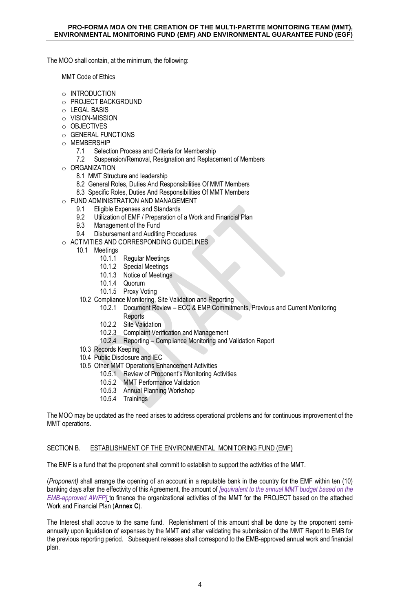The MOO shall contain, at the minimum, the following:

MMT Code of Ethics

- o INTRODUCTION
- o PROJECT BACKGROUND
- o LEGAL BASIS
- o VISION-MISSION
- o OBJECTIVES
- o GENERAL FUNCTIONS
- o MEMBERSHIP
	- 7.1 Selection Process and Criteria for Membership<br>7.2 Suspension/Removal Resignation and Replace
	- Suspension/Removal, Resignation and Replacement of Members
- o ORGANIZATION
	- 8.1 MMT Structure and leadership
	- 8.2 General Roles, Duties And Responsibilities Of MMT Members
	- 8.3 Specific Roles, Duties And Responsibilities Of MMT Members
- o FUND ADMINISTRATION AND MANAGEMENT
	- 9.1 Eligible Expenses and Standards<br>9.2 Utilization of FMF / Prenaration of
	- 9.2 Utilization of EMF / Preparation of a Work and Financial Plan<br>9.3 Management of the Fund
	- Management of the Fund
	- 9.4 Disbursement and Auditing Procedures
- o ACTIVITIES AND CORRESPONDING GUIDELINES
	- 10.1 Meetings
		- 10.1.1 Regular Meetings
		- 10.1.2 Special Meetings
		- 10.1.3 Notice of Meetings
		- 10.1.4 Quorum
		- 10.1.5 Proxy Voting
		- 10.2 Compliance Monitoring, Site Validation and Reporting
			- 10.2.1 Document Review ECC & EMP Commitments, Previous and Current Monitoring
				- Reports
			- 10.2.2 Site Validation
			- 10.2.3 Complaint Verification and Management
			- 10.2.4 Reporting Compliance Monitoring and Validation Report
		- 10.3 Records Keeping
		- 10.4 Public Disclosure and IEC
		- 10.5 Other MMT Operations Enhancement Activities
			- 10.5.1 Review of Proponent's Monitoring Activities
			- 10.5.2 MMT Performance Validation
			- 10.5.3 Annual Planning Workshop
			- 10.5.4 Trainings

The MOO may be updated as the need arises to address operational problems and for continuous improvement of the MMT operations.

### SECTION B. ESTABLISHMENT OF THE ENVIRONMENTAL MONITORING FUND (EMF)

The EMF is a fund that the proponent shall commit to establish to support the activities of the MMT.

(*Proponent)* shall arrange the opening of an account in a reputable bank in the country for the EMF within ten (10) banking days after the effectivity of this Agreement, the amount of *[equivalent to the annual MMT budget based on the EMB-approved AWFP]* to finance the organizational activities of the MMT for the PROJECT based on the attached Work and Financial Plan (**Annex C**).

The Interest shall accrue to the same fund. Replenishment of this amount shall be done by the proponent semiannually upon liquidation of expenses by the MMT and after validating the submission of the MMT Report to EMB for the previous reporting period. Subsequent releases shall correspond to the EMB-approved annual work and financial plan.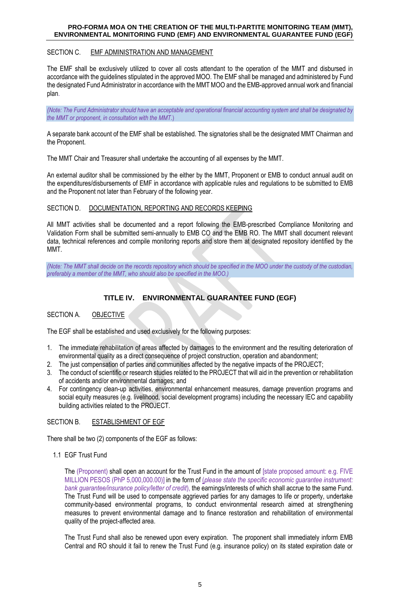### SECTION C. EMF ADMINISTRATION AND MANAGEMENT

The EMF shall be exclusively utilized to cover all costs attendant to the operation of the MMT and disbursed in accordance with the guidelines stipulated in the approved MOO. The EMF shall be managed and administered by Fund the designated Fund Administrator in accordance with the MMT MOO and the EMB-approved annual work and financial plan.

*(Note: The Fund Administrator should have an acceptable and operational financial accounting system and shall be designated by the MMT or proponent, in consultation with the MMT.*)

A separate bank account of the EMF shall be established. The signatories shall be the designated MMT Chairman and the Proponent.

The MMT Chair and Treasurer shall undertake the accounting of all expenses by the MMT.

An external auditor shall be commissioned by the either by the MMT, Proponent or EMB to conduct annual audit on the expenditures/disbursements of EMF in accordance with applicable rules and regulations to be submitted to EMB and the Proponent not later than February of the following year.

#### SECTION D. DOCUMENTATION, REPORTING AND RECORDS KEEPING

All MMT activities shall be documented and a report following the EMB-prescribed Compliance Monitoring and Validation Form shall be submitted semi-annually to EMB CO and the EMB RO. The MMT shall document relevant data, technical references and compile monitoring reports and store them at designated repository identified by the MMT.

*(Note: The MMT shall decide on the records repository which should be specified in the MOO under the custody of the custodian, preferably a member of the MMT, who should also be specified in the MOO.)*

# **TITLE IV. ENVIRONMENTAL GUARANTEE FUND (EGF)**

### SECTION A. OBJECTIVE

The EGF shall be established and used exclusively for the following purposes:

- 1. The immediate rehabilitation of areas affected by damages to the environment and the resulting deterioration of environmental quality as a direct consequence of project construction, operation and abandonment;
- 2. The just compensation of parties and communities affected by the negative impacts of the PROJECT;
- 3. The conduct of scientific or research studies related to the PROJECT that will aid in the prevention or rehabilitation of accidents and/or environmental damages; and
- 4. For contingency clean-up activities, environmental enhancement measures, damage prevention programs and social equity measures (e.g. livelihood, social development programs) including the necessary IEC and capability building activities related to the PROJECT.

### SECTION B. ESTABLISHMENT OF EGF

There shall be two (2) components of the EGF as follows:

1.1 EGF Trust Fund

The (Proponent) shall open an account for the Trust Fund in the amount of [state proposed amount: e.g. FIVE MILLION PESOS (PhP 5,000,000.00)] in the form of (*please state the specific economic guarantee instrument: bank guarantee/insurance policy/letter of credit*), the earnings/interests of which shall accrue to the same Fund. The Trust Fund will be used to compensate aggrieved parties for any damages to life or property, undertake community-based environmental programs, to conduct environmental research aimed at strengthening measures to prevent environmental damage and to finance restoration and rehabilitation of environmental quality of the project-affected area.

The Trust Fund shall also be renewed upon every expiration. The proponent shall immediately inform EMB Central and RO should it fail to renew the Trust Fund (e.g. insurance policy) on its stated expiration date or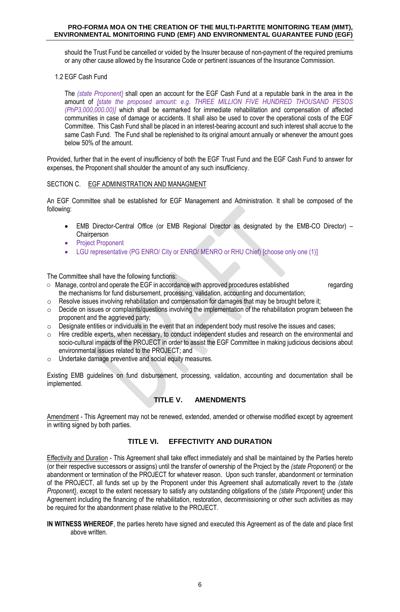should the Trust Fund be cancelled or voided by the Insurer because of non-payment of the required premiums or any other cause allowed by the Insurance Code or pertinent issuances of the Insurance Commission.

1.2 EGF Cash Fund

The *(state Proponent)* shall open an account for the EGF Cash Fund at a reputable bank in the area in the amount of *[state the proposed amount: e.g. THREE MILLION FIVE HUNDRED THOUSAND PESOS (PhP3,000,000.00)]* which shall be earmarked for immediate rehabilitation and compensation of affected communities in case of damage or accidents. It shall also be used to cover the operational costs of the EGF Committee. This Cash Fund shall be placed in an interest-bearing account and such interest shall accrue to the same Cash Fund. The Fund shall be replenished to its original amount annually or whenever the amount goes below 50% of the amount.

Provided, further that in the event of insufficiency of both the EGF Trust Fund and the EGF Cash Fund to answer for expenses, the Proponent shall shoulder the amount of any such insufficiency.

#### SECTION C. EGF ADMINISTRATION AND MANAGMENT

An EGF Committee shall be established for EGF Management and Administration. It shall be composed of the following:

- EMB Director-Central Office (or EMB Regional Director as designated by the EMB-CO Director) **Chairperson**
- Project Proponent
- LGU representative (PG ENRO/ City or ENRO/ MENRO or RHU Chief) [choose only one (1)]

The Committee shall have the following functions:

- Manage, control and operate the EGF in accordance with approved procedures established regarding the mechanisms for fund disbursement, processing, validation, accounting and documentation;
- $\circ$  Resolve issues involving rehabilitation and compensation for damages that may be brought before it;
- o Decide on issues or complaints/questions involving the implementation of the rehabilitation program between the proponent and the aggrieved party;
- o Designate entities or individuals in the event that an independent body must resolve the issues and cases;
- o Hire credible experts, when necessary, to conduct independent studies and research on the environmental and socio-cultural impacts of the PROJECT in order to assist the EGF Committee in making judicious decisions about environmental issues related to the PROJECT; and
- o Undertake damage preventive and social equity measures.

Existing EMB guidelines on fund disbursement, processing, validation, accounting and documentation shall be implemented.

## **TITLE V. AMENDMENTS**

Amendment - This Agreement may not be renewed, extended, amended or otherwise modified except by agreement in writing signed by both parties.

### **TITLE VI. EFFECTIVITY AND DURATION**

Effectivity and Duration - This Agreement shall take effect immediately and shall be maintained by the Parties hereto (or their respective successors or assigns) until the transfer of ownership of the Project by the *(state Proponent)* or the abandonment or termination of the PROJECT for whatever reason. Upon such transfer, abandonment or termination of the PROJECT, all funds set up by the Proponent under this Agreement shall automatically revert to the *(state Proponent)*, except to the extent necessary to satisfy any outstanding obligations of the *(state Proponent)* under this Agreement including the financing of the rehabilitation, restoration, decommissioning or other such activities as may be required for the abandonment phase relative to the PROJECT.

**IN WITNESS WHEREOF**, the parties hereto have signed and executed this Agreement as of the date and place first above written.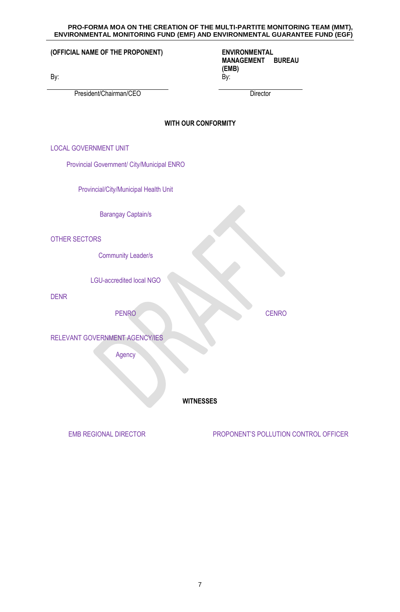|                                            | ENVIRONMENTAL MONITORING FUND (EMF) AND ENVIRONMENTAL GUARANTEE FUND (EGF  |
|--------------------------------------------|----------------------------------------------------------------------------|
| (OFFICIAL NAME OF THE PROPONENT)<br>By:    | <b>ENVIRONMENTAL</b><br><b>MANAGEMENT</b><br><b>BUREAU</b><br>(EMB)<br>By: |
| President/Chairman/CEO                     | Director                                                                   |
| <b>WITH OUR CONFORMITY</b>                 |                                                                            |
| <b>LOCAL GOVERNMENT UNIT</b>               |                                                                            |
| Provincial Government/ City/Municipal ENRO |                                                                            |
| Provincial/City/Municipal Health Unit      |                                                                            |
| <b>Barangay Captain/s</b>                  |                                                                            |
| <b>OTHER SECTORS</b>                       |                                                                            |
| <b>Community Leader/s</b>                  |                                                                            |
| <b>LGU-accredited local NGO</b>            |                                                                            |
| <b>DENR</b>                                |                                                                            |
| <b>PENRO</b>                               | <b>CENRO</b>                                                               |
| RELEVANT GOVERNMENT AGENCY/IES             |                                                                            |
| Agency                                     |                                                                            |
|                                            |                                                                            |
| <b>WITNESSES</b>                           |                                                                            |
| <b>EMB REGIONAL DIRECTOR</b>               | PROPONENT'S POLLUTION CONTROL OFFICER                                      |